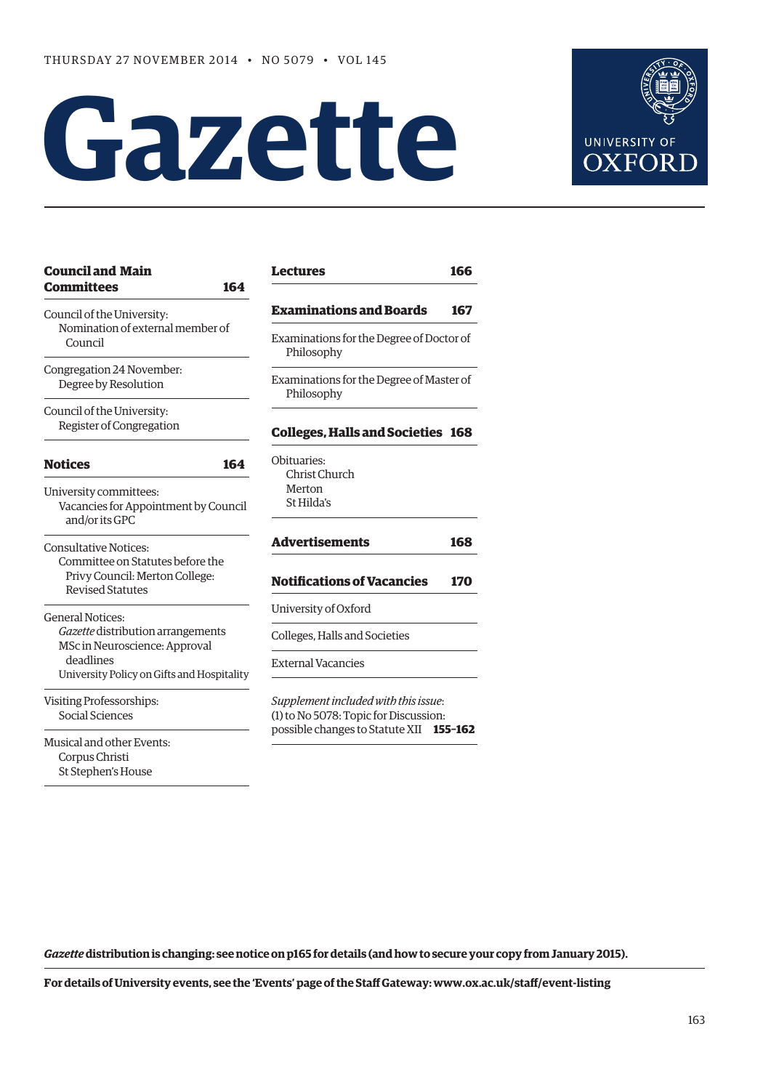# **Gazette**



| <b>Council and Main</b><br><b>Committees</b><br>164                                           | <b>Lectures</b><br>166                                                                                                      |
|-----------------------------------------------------------------------------------------------|-----------------------------------------------------------------------------------------------------------------------------|
| Council of the University:<br>Nomination of external member of<br>Council                     | <b>Examinations and Boards</b><br>167                                                                                       |
|                                                                                               | Examinations for the Degree of Doctor of<br>Philosophy                                                                      |
| Congregation 24 November:<br>Degree by Resolution                                             | Examinations for the Degree of Master of<br>Philosophy<br><b>Colleges, Halls and Societies 168</b>                          |
| Council of the University:<br>Register of Congregation                                        |                                                                                                                             |
| <b>Notices</b><br>164                                                                         | Obituaries:<br>Christ Church<br>Merton<br>St Hilda's                                                                        |
| University committees:<br>Vacancies for Appointment by Council<br>and/or its GPC              |                                                                                                                             |
| <b>Consultative Notices:</b>                                                                  | <b>Advertisements</b><br>168                                                                                                |
| Committee on Statutes before the<br>Privy Council: Merton College:<br><b>Revised Statutes</b> | <b>Notifications of Vacancies</b><br>170                                                                                    |
| <b>General Notices:</b>                                                                       | University of Oxford                                                                                                        |
| Gazette distribution arrangements<br>MSc in Neuroscience: Approval                            | Colleges, Halls and Societies                                                                                               |
| deadlines<br>University Policy on Gifts and Hospitality                                       | <b>External Vacancies</b>                                                                                                   |
| Visiting Professorships:<br>Social Sciences                                                   | Supplement included with this issue:<br>(1) to No 5078: Topic for Discussion:<br>possible changes to Statute XII<br>155-162 |
| Musical and other Events:<br>Corpus Christi<br>St Stephen's House                             |                                                                                                                             |

**[Advertisements](#page-5-0) 168** Acancies 170 ocieties with this issue: for Discussion: possible changes to Statute XII **155–162**

*Gazette* **distribution is changing: [see notice on p165](#page-2-0) for details (and how to secure your copy from January 2015).**

**For details of University events, see the 'Events' page of the Staff Gateway: www.ox.ac.uk/staff/event-listing**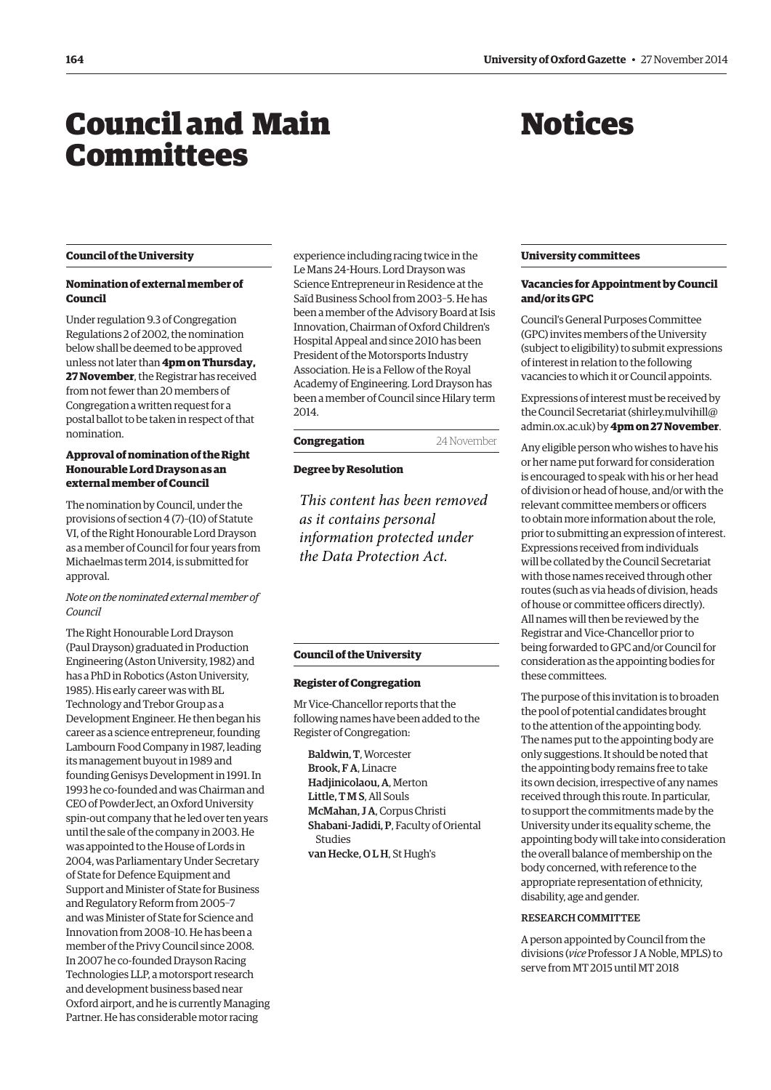# <span id="page-1-0"></span>Council and Main **Committees**

## Notices

#### **Council of the University**

#### **Nomination of external member of Council**

Under regulation 9.3 of Congregation Regulations 2 of 2002, the nomination below shall be deemed to be approved unless not later than **4pm on Thursday, 27 November**, the Registrar has received from not fewer than 20 members of Congregation a written request for a postal ballot to be taken in respect of that nomination.

#### **Approval of nomination of the Right Honourable Lord Drayson as an external member of Council**

The nomination by Council, under the provisions of section 4 (7)–(10) of Statute VI, of the Right Honourable Lord Drayson as a member of Council for four years from Michaelmas term 2014, is submitted for approval.

#### *Note on the nominated external member of Council*

The Right Honourable Lord Drayson (Paul Drayson) graduated in Production Engineering (Aston University, 1982) and has a PhD in Robotics (Aston University, 1985). His early career was with BL Technology and Trebor Group as a Development Engineer. He then began his career as a science entrepreneur, founding Lambourn Food Company in 1987, leading its management buyout in 1989 and founding Genisys Development in 1991. In 1993 he co-founded and was Chairman and CEO of PowderJect, an Oxford University spin-out company that he led over ten years until the sale of the company in 2003. He was appointed to the House of Lords in 2004, was Parliamentary Under Secretary of State for Defence Equipment and Support and Minister of State for Business and Regulatory Reform from 2005–7 and was Minister of State for Science and Innovation from 2008–10. He has been a member of the Privy Council since 2008. In 2007 he co-founded Drayson Racing Technologies LLP, a motorsport research and development business based near Oxford airport, and he is currently Managing Partner. He has considerable motor racing

experience including racing twice in the Le Mans 24-Hours. Lord Drayson was Science Entrepreneur in Residence at the Saïd Business School from 2003–5. He has been a member of the Advisory Board at Isis Innovation, Chairman of Oxford Children's Hospital Appeal and since 2010 has been President of the Motorsports Industry Association. He is a Fellow of the Royal Academy of Engineering. Lord Drayson has been a member of Council since Hilary term 2014.

#### **Congregation** 24 November

#### **Degree by Resolution**

*This content has been removed as it contains personal information protected under the Data Protection Act.*

#### **Council of the University**

#### **Register of Congregation**

Mr Vice-Chancellor reports that the following names have been added to the Register of Congregation:

Baldwin, T, Worcester Brook, F A, Linacre Hadjinicolaou, A, Merton Little, T M S, All Souls McMahan, J A, Corpus Christi Shabani-Jadidi, P, Faculty of Oriental **Studies** van Hecke, OLH, St Hugh's

#### **University committees**

#### **Vacancies for Appointment by Council and/or its GPC**

Council's General Purposes Committee (GPC) invites members of the University (subject to eligibility) to submit expressions of interest in relation to the following vacancies to which it or Council appoints.

Expressions of interest must be received by [the Council Secretariat \(shirley.mulvihill@](mailto:shirley.mulvihill@admin.ox.ac.uk) admin.ox.ac.uk) by **4pm on 27 November**.

Any eligible person who wishes to have his or her name put forward for consideration is encouraged to speak with his or her head of division or head of house, and/or with the relevant committee members or officers to obtain more information about the role, prior to submitting an expression of interest. Expressions received from individuals will be collated by the Council Secretariat with those names received through other routes (such as via heads of division, heads of house or committee officers directly). All names will then be reviewed by the Registrar and Vice-Chancellor prior to being forwarded to GPC and/or Council for consideration as the appointing bodies for these committees.

The purpose of this invitation is to broaden the pool of potential candidates brought to the attention of the appointing body. The names put to the appointing body are only suggestions. It should be noted that the appointing body remains free to take its own decision, irrespective of any names received through this route. In particular, to support the commitments made by the University under its equality scheme, the appointing body will take into consideration the overall balance of membership on the body concerned, with reference to the appropriate representation of ethnicity, disability, age and gender.

#### Research Committee

A person appointed by Council from the divisions (*vice* Professor J A Noble, MPLS) to serve from MT 2015 until MT 2018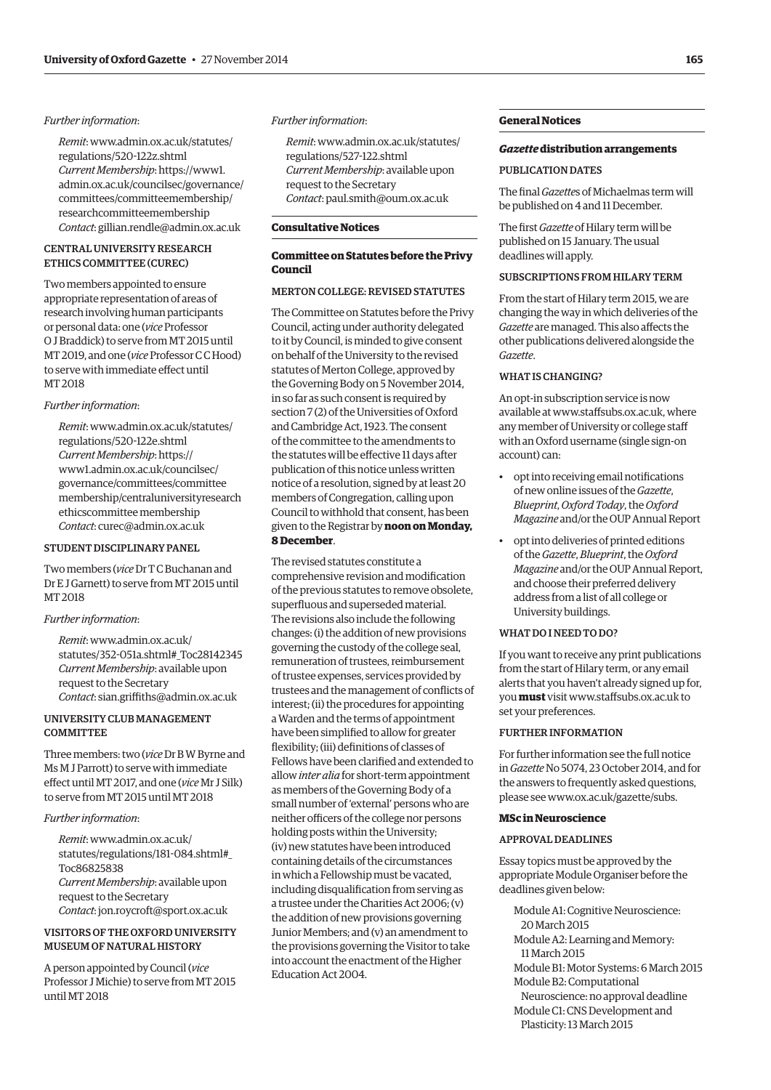#### <span id="page-2-0"></span>*Further information*:

*Remit*[: www.admin.ox.ac.uk/statutes/](www.admin.ox.ac.uk/statutes/regulations/520-122z.shtml) regulations/520-122z.shtml *Current Membership*: https://www1. [admin.ox.ac.uk/councilsec/governance/](https://www1.admin.ox.ac.uk/councilsec/governance/committees/committeemembership/researchcommitteemembership) committees/committeemembership/ researchcommitteemembership *Contact*: gillian.rendle@admin.ox.ac.uk

#### Central University Research Ethics Committee (CUREC)

Two members appointed to ensure appropriate representation of areas of research involving human participants or personal data: one (*vice* Professor O J Braddick) to serve from MT 2015 until MT 2019, and one (*vice* Professor C C Hood) to serve with immediate effect until MT 2018

#### *Further information*:

*Remit*[: www.admin.ox.ac.uk/statutes/](www.admin.ox.ac.uk/statutes/regulations/520-122e.shtml) regulations/520-122e.shtml *Current Membership*: https:// www1.admin.ox.ac.uk/councilsec/ governance/committees/committee [membership/centraluniversityresearch](www1.admin.ox.ac.uk/councilsec/governance/committees/committeemembership/centraluniversityresearchethicscommitteemembership)  ethicscommittee membership *Contact*: curec@admin.ox.ac.uk

#### STUDENT DISCIPLINARY PANEL

Two members (*vice* Dr T C Buchanan and Dr E J Garnett) to serve from MT 2015 until MT 2018

#### *Further information*:

*Remit*: www.admin.ox.ac.uk/ [statutes/352-051a.shtml#\\_Toc28142345](www.admin.ox.ac.uk/statutes/352-051a.shtml#_Toc28142345)  *Current Membership*: available upon request to the Secretary *Contact*: sian.griffiths@admin.ox.ac.uk

#### University Club Management **COMMITTEE**

Three members: two (*vice* Dr B W Byrne and Ms M J Parrott) to serve with immediate effect until MT 2017, and one (*vice* Mr J Silk) to serve from MT 2015 until MT 2018

#### *Further information*:

*Remit*: www.admin.ox.ac.uk/ [statutes/regulations/181-084.shtml#\\_](www.admin.ox.ac.uk/statutes/regulations/181-084.shtml#_Toc86825838) Toc86825838 *Current Membership*: available upon request to the Secretary *Contact*: jon.roycroft@sport.ox.ac.uk

#### Visitorsof the Oxford University Museum of Natural History

A person appointed by Council (*vice* Professor J Michie) to serve from MT 2015 until MT 2018

#### *Further information*:

*Remit*[: www.admin.ox.ac.uk/statutes/](www.admin.ox.ac.uk/statutes/regulations/527-122.shtml) regulations/527-122.shtml *Current Membership*: available upon request to the Secretary *Contact*: paul.smith@oum.ox.ac.uk

#### **Consultative Notices**

#### **Committee on Statutes before the Privy Council**

#### MERTON COLLEGE: REVISED STATUTES

The Committee on Statutes before the Privy Council, acting under authority delegated to it by Council, is minded to give consent on behalf of the University to the revised statutes of Merton College, approved by the Governing Body on 5 November 2014, in so far as such consent is required by section 7 (2) of the Universities of Oxford and Cambridge Act, 1923. The consent of the committee to the amendments to the statutes will be effective 11 days after publication of this notice unless written notice of a resolution, signed by at least 20 members of Congregation, calling upon Council to withhold that consent, has been given to the Registrar by **noon on Monday, 8 December**.

The revised statutes constitute a comprehensive revision and modification of the previous statutes to remove obsolete, superfluous and superseded material. The revisions also include the following changes: (i) the addition of new provisions governing the custody of the college seal, remuneration of trustees, reimbursement of trustee expenses, services provided by trustees and the management of conflicts of interest; (ii) the procedures for appointing a Warden and the terms of appointment have been simplified to allow for greater flexibility; (iii) definitions of classes of Fellows have been clarified and extended to allow *inter alia* for short-term appointment as members of the Governing Body of a small number of 'external' persons who are neither officers of the college nor persons holding posts within the University; (iv) new statutes have been introduced containing details of the circumstances in which a Fellowship must be vacated, including disqualification from serving as a trustee under the Charities Act 2006; (v) the addition of new provisions governing Junior Members; and (v) an amendment to the provisions governing the Visitor to take into account the enactment of the Higher Education Act 2004.

#### **General Notices**

#### *Gazette* **distribution arrangements**

#### PUBLICATION DATES

The final *Gazette*s of Michaelmas term will be published on 4 and 11 December.

The first *Gazette* of Hilary term will be published on 15 January. The usual deadlines will apply.

#### Subscriptions from Hilary term

From the start of Hilary term 2015, we are changing the way in which deliveries of the *Gazette* are managed. This also affects the other publications delivered alongside the *Gazette*.

#### WHAT IS CHANGING?

An opt-in subscription service is now available at www.staffsubs.ox.ac.uk, where any member of University or college staff with an Oxford username (single sign-on account) can:

- opt into receiving email notifications of new online issues of the *Gazette*, *Blueprint*, *Oxford Today*, the *Oxford Magazine* and/or the OUP Annual Report
- opt into deliveries of printed editions of the *Gazette*, *Blueprint*, the *Oxford Magazine* and/or the OUP Annual Report, and choose their preferred delivery address from a list of all college or University buildings.

#### WHAT DO I NEED TO DO?

If you want to receive any print publications from the start of Hilary term, or any email alerts that you haven't already signed up for, you **must** visit www.staffsubs.ox.ac.uk to set your preferences.

#### FURTHER INFORMATION

For further information see the full notice in *Gazette* No 5074, 23 October 2014, and for the answers to frequently asked questions, please see www.ox.ac.uk/gazette/subs.

#### **MSc in Neuroscience**

#### APPROVAL DEADLINES

Essay topics must be approved by the appropriate Module Organiser before the deadlines given below:

- Module A1: Cognitive Neuroscience: 20 March 2015
- Module A2: Learning and Memory: 11 March 2015
- Module B1: Motor Systems: 6 March 2015
- Module B2: Computational Neuroscience: no approval deadline
- Module C1: CNS Development and Plasticity: 13 March 2015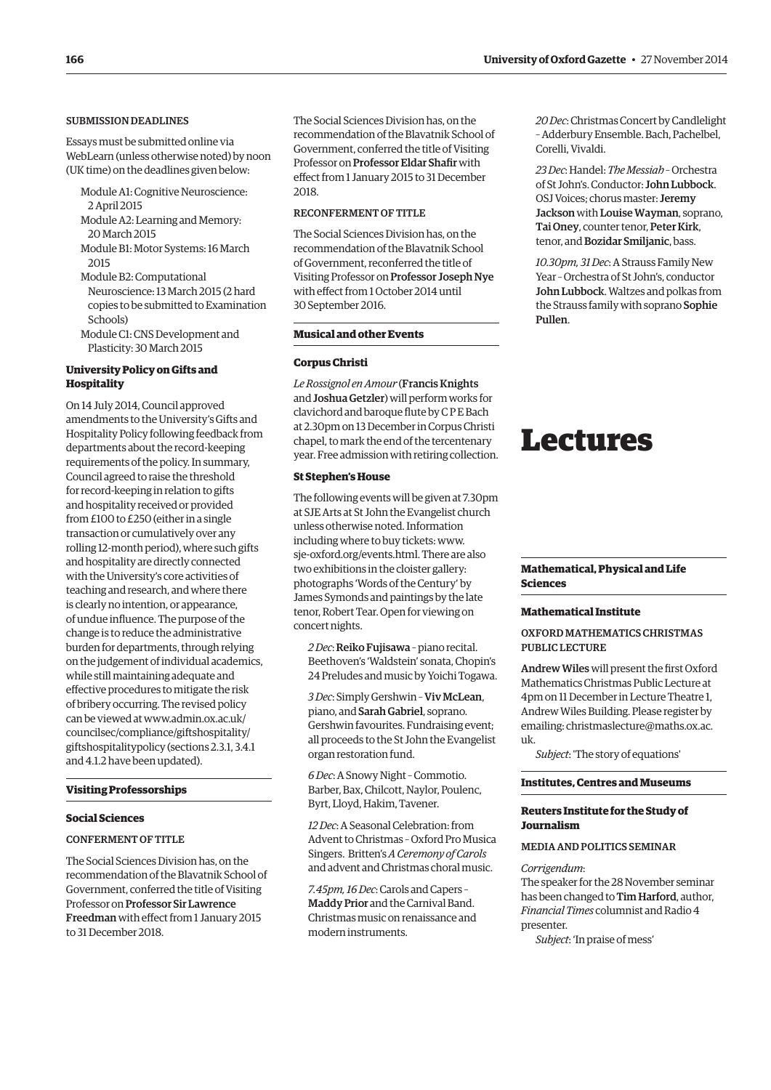#### <span id="page-3-0"></span>Submission deadlines

Essays must be submitted online via WebLearn (unless otherwise noted) by noon (UK time) on the deadlines given below:

- Module A1: Cognitive Neuroscience: 2 April 2015
- Module A2: Learning and Memory: 20 March 2015
- Module B1: Motor Systems: 16 March 2015
- Module B2: Computational Neuroscience: 13 March 2015 (2 hard copies to be submitted to Examination Schools)
- Module C1: CNS Development and Plasticity: 30 March 2015

#### **University Policy on Gifts and Hospitality**

On 14 July 2014, Council approved amendments to the University's Gifts and Hospitality Policy following feedback from departments about the record-keeping requirements of the policy. In summary, Council agreed to raise the threshold for record-keeping in relation to gifts and hospitality received or provided from £100 to £250 (either in a single transaction or cumulatively over any rolling 12-month period), where such gifts and hospitality are directly connected with the University's core activities of teaching and research, and where there is clearly no intention, or appearance, of undue influence. The purpose of the change is to reduce the administrative burden for departments, through relying on the judgement of individual academics, while still maintaining adequate and effective procedures to mitigate the risk of bribery occurring. The revised policy can be viewed at www.admin.ox.ac.uk/ councilsec/compliance/giftshospitality/ [giftshospitalitypolicy \(sections 2.3.1, 3.4.1](www.admin.ox.ac.uk/councilsec/compliance/giftshospitality/giftshospitalitypolicy)  and 4.1.2 have been updated).

#### **Visiting Professorships**

#### **Social Sciences**

#### CONFERMENT OF TITLE

The Social Sciences Division has, on the recommendation of the Blavatnik School of Government, conferred the title of Visiting Professor on Professor Sir Lawrence Freedman with effect from 1 January 2015 to 31 December 2018.

The Social Sciences Division has, on the recommendation of the Blavatnik School of Government, conferred the title of Visiting Professor on Professor Eldar Shafir with effect from 1 January 2015 to 31 December 2018.

#### Reconfermentof Title

The Social Sciences Division has, on the recommendation of the Blavatnik School of Government, reconferred the title of Visiting Professor on Professor Joseph Nye with effect from 1 October 2014 until 30 September 2016.

#### **Musical and other Events**

#### **Corpus Christi**

*Le Rossignol en Amour* (Francis Knights and Joshua Getzler) will perform works for clavichord and baroque flute by C P E Bach at 2.30pm on 13 December in Corpus Christi chapel, to mark the end of the tercentenary year. Free admission with retiring collection.

#### **St Stephen's House**

The following events will be given at 7.30pm at SJE Arts at St John the Evangelist church unless otherwise noted. Information including where to buy tickets: www. [sje-oxford.org/events.html. There are also](http://www.sje-oxford.org/events.html)  two exhibitions in the cloister gallery: photographs 'Words of the Century' by James Symonds and paintings by the late tenor, Robert Tear. Open for viewing on concert nights.

*2 Dec*:Reiko Fujisawa – piano recital. Beethoven's 'Waldstein' sonata, Chopin's 24 Preludes and music by Yoichi Togawa.

*3 Dec*: Simply Gershwin – Viv McLean, piano, and Sarah Gabriel, soprano. Gershwin favourites. Fundraising event; all proceeds to the St John the Evangelist organ restoration fund.

*6 Dec*: ASnowy Night – Commotio. Barber, Bax, Chilcott, Naylor, Poulenc, Byrt, Lloyd, Hakim, Tavener.

*12 Dec*: A Seasonal Celebration: from Advent to Christmas – Oxford Pro Musica Singers. Britten's *A Ceremony of Carols* and advent and Christmas choral music.

*7.45pm, 16 Dec*: Carols and Capers – Maddy Prior and the Carnival Band. Christmas music on renaissance and modern instruments.

*20 Dec*: Christmas Concert by Candlelight – Adderbury Ensemble. Bach, Pachelbel, Corelli, Vivaldi.

*23 Dec*: Handel: *The Messiah* – Orchestra of St John's. Conductor: John Lubbock. OSJ Voices; chorus master: Jeremy Jackson with Louise Wayman, soprano, Tai Oney, counter tenor, Peter Kirk, tenor, and Bozidar Smiljanic, bass.

*10.30pm, 31 Dec*: AStrauss Family New Year – Orchestra of St John's, conductor John Lubbock. Waltzes and polkas from the Strauss family with soprano Sophie Pullen.

### Lectures

#### **Mathematical, Physical and Life Sciences**

#### **Mathematical Institute**

#### Oxford Mathematics Christmas Public Lecture

Andrew Wiles will present the first Oxford Mathematics Christmas Public Lecture at 4pm on 11 December in Lecture Theatre 1, Andrew Wiles Building. Please register by [emailing: christmaslecture@maths.ox.ac.](mailto:christmaslecture@maths.ox.ac.uk) uk.

*Subject*: 'The story of equations'

#### **Institutes, Centres and Museums**

#### **Reuters Institute for the Study of Journalism**

#### Mediaand Politics Seminar

#### *Corrigendum*:

The speaker for the 28 November seminar has been changed to Tim Harford, author, *Financial Times* columnist and Radio 4 presenter.

*Subject*: 'In praise of mess'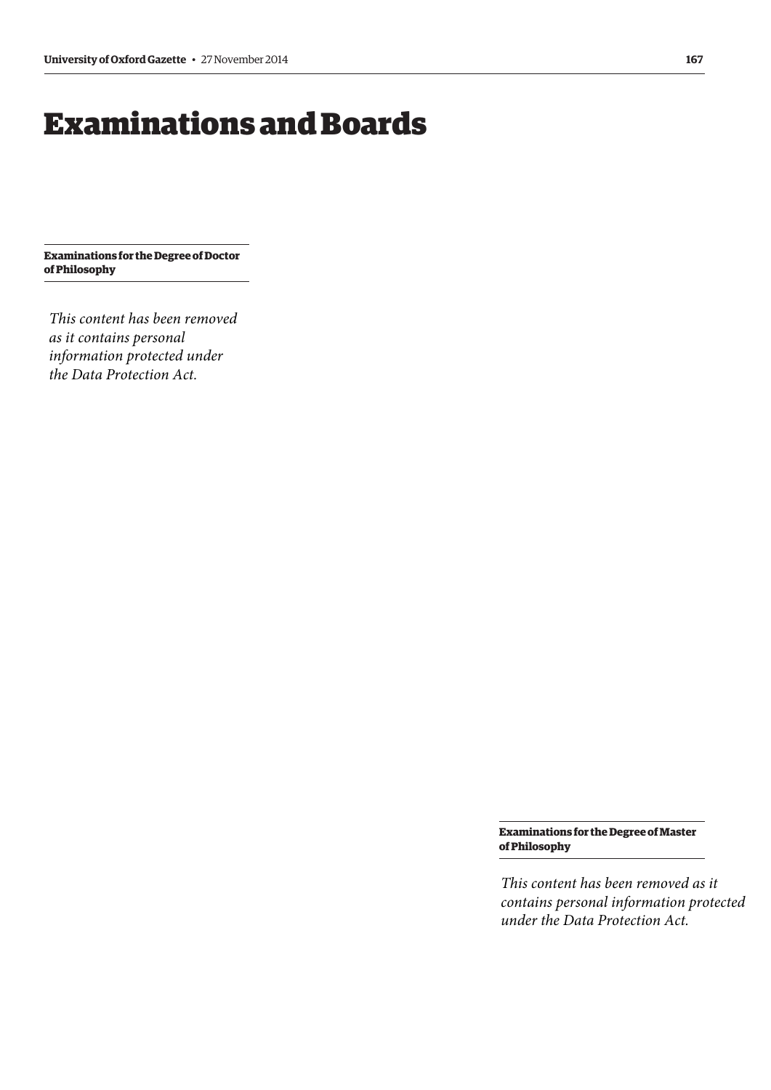# <span id="page-4-0"></span>Examinations and Boards

**Examinations for the Degree of Doctor of Philosophy**

*This content has been removed as it contains personal information protected under the Data Protection Act.*

> **Examinations for the Degree of Master of Philosophy**

*This content has been removed as it contains personal information protected under the Data Protection Act.*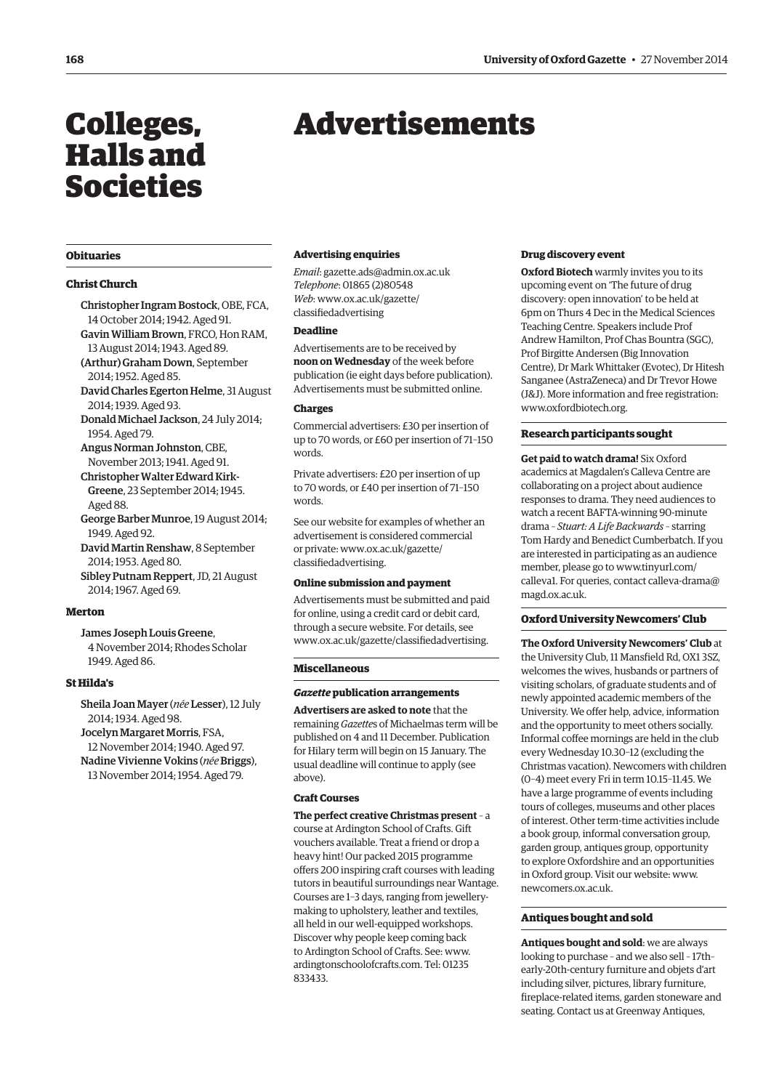# <span id="page-5-0"></span>Colleges, Halls and Societies

#### **Obituaries**

#### **Christ Church**

- Christopher Ingram Bostock, OBE, FCA, 14 October 2014; 1942. Aged 91. Gavin William Brown, FRCO, Hon RAM, 13 August 2014; 1943. Aged 89.
- (Arthur) Graham Down, September 2014; 1952. Aged 85.
- David Charles Egerton Helme, 31 August 2014; 1939. Aged 93.
- Donald Michael Jackson, 24 July 2014; 1954. Aged 79.
- Angus Norman Johnston, CBE, November 2013; 1941. Aged 91. Christopher Walter Edward Kirk-
- Greene, 23 September 2014; 1945. Aged 88.
- George Barber Munroe, 19 August 2014; 1949. Aged 92.
- David Martin Renshaw, 8 September 2014; 1953. Aged 80.
- Sibley Putnam Reppert, JD, 21 August 2014; 1967. Aged 69.

#### **Merton**

James Joseph Louis Greene, 4 November 2014; Rhodes Scholar 1949. Aged 86.

#### **St Hilda's**

Sheila Joan Mayer (*née* Lesser), 12 July 2014; 1934. Aged 98. Jocelyn Margaret Morris, FSA, 12 November 2014; 1940. Aged 97. Nadine Vivienne Vokins (*née*Briggs), 13 November 2014; 1954. Aged 79.

# Advertisements

#### **Advertising enquiries**

*Email*: gazette.ads@admin.ox.ac.uk *Telephone*: 01865 (2)80548 *Web*[: www.ox.ac.uk/gazette/](www.ox.ac.uk/gazette/classifiedadvertising) classifiedadvertising

#### **Deadline**

Advertisements are to be received by **noon on Wednesday** of the week before publication (ie eight days before publication). Advertisements must be submitted online.

#### **Charges**

Commercial advertisers: £30 per insertion of up to 70 words, or £60 per insertion of 71–150 words.

Private advertisers: £20 per insertion of up to 70 words, or £40 per insertion of 71–150 words.

See our website for examples of whether an advertisement is considered commercial [or private: www.ox.ac.uk/gazette/](www.ox.ac.uk/gazette/classifiedadvertising) classifiedadvertising.

#### **Online submission and payment**

Advertisements must be submitted and paid for online, using a credit card or debit card, through a secure website. For details, see www.ox.ac.uk/gazette/classifiedadvertising.

#### **Miscellaneous**

#### *Gazette* **publication arrangements**

**Advertisers are asked to note** that the remaining *Gazette*s of Michaelmas term will be published on 4 and 11 December. Publication for Hilary term will begin on 15 January. The usual deadline will continue to apply (see above).

#### **Craft Courses**

**The perfect creative Christmas present** – a course at Ardington School of Crafts. Gift vouchers available. Treat a friend or drop a heavy hint! Our packed 2015 programme offers 200 inspiring craft courses with leading tutors in beautiful surroundings near Wantage. Courses are 1–3 days, ranging from jewellerymaking to upholstery, leather and textiles, all held in our well-equipped workshops. Discover why people keep coming back to Ardington School of Crafts. See: www. [ardingtonschoolofcrafts.com. Tel: 01235](www.ardingtonschoolofcrafts.com)  833433.

#### **Drug discovery event**

**Oxford Biotech** warmly invites you to its upcoming event on 'The future of drug discovery: open innovation' to be held at 6pm on Thurs 4 Dec in the Medical Sciences Teaching Centre. Speakers include Prof Andrew Hamilton, Prof Chas Bountra (SGC), Prof Birgitte Andersen (Big Innovation Centre), Dr Mark Whittaker (Evotec), Dr Hitesh Sanganee (AstraZeneca) and Dr Trevor Howe (J&J). More information and free registration: www.oxfordbiotech.org.

#### **Research participants sought**

**Get paid to watch drama!** Six Oxford academics at Magdalen's Calleva Centre are collaborating on a project about audience responses to drama. They need audiences to watch a recent BAFTA-winning 90-minute drama – *Stuart: A Life Backwards* – starring Tom Hardy and Benedict Cumberbatch. If you are interested in participating as an audience member, pl[ease go to www.tinyurl.com/](www.tinyurl.com/calleva1) [calleva1. For queries, contact calleva-drama@](mailto:calleva-drama@magd.ox.ac.uk) magd.ox.ac.uk.

#### **Oxford University Newcomers' Club**

**The Oxford University Newcomers' Club** at the University Club, 11 Mansfield Rd, OX1 3SZ, welcomes the wives, husbands or partners of visiting scholars, of graduate students and of newly appointed academic members of the University. We offer help, advice, information and the opportunity to meet others socially. Informal coffee mornings are held in the club every Wednesday 10.30–12 (excluding the Christmas vacation). Newcomers with children (0–4) meet every Fri in term 10.15–11.45. We have a large programme of events including tours of colleges, museums and other places of interest. Other term-time activities include a book group, informal conversation group, garden group, antiques group, opportunity to explore Oxfordshire and an opportunities [in Oxford group. Visit our website: www.](www.newcomers.ox.ac.uk) newcomers.ox.ac.uk.

#### **Antiques bought and sold**

**Antiques bought and sold**: we are always looking to purchase – and we also sell – 17th– early-20th-century furniture and objets d'art including silver, pictures, library furniture, fireplace-related items, garden stoneware and seating. Contact us at Greenway Antiques,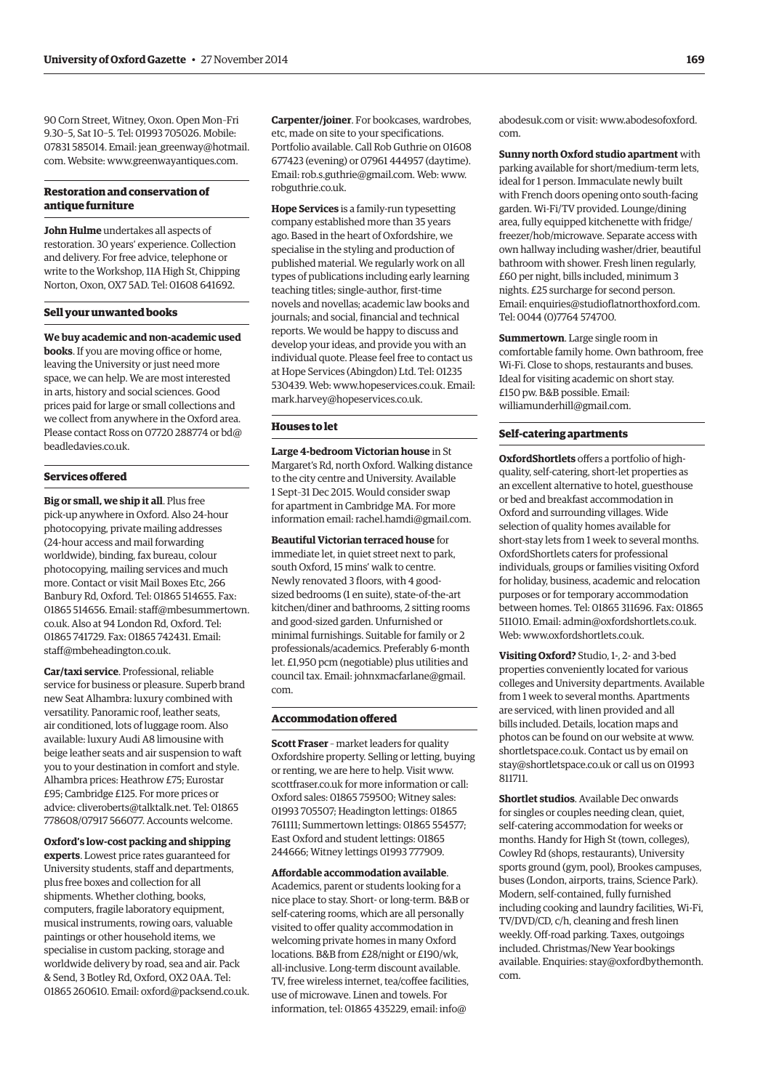90 Corn Street, Witney, Oxon. Open Mon–Fri 9.30–5, Sat 10–5. Tel: 01993 705026. Mobile: 07831 585014[. Email: jean\\_greenway@hotmail.](mailto:jean_greenway@hotmail.com) com. Website: www.greenwayantiques.com.

#### **Restoration and conservation of antique furniture**

**John Hulme** undertakes all aspects of restoration. 30 years' experience. Collection and delivery. For free advice, telephone or write to the Workshop, 11A High St, Chipping Norton, Oxon, OX7 5AD. Tel: 01608 641692.

#### **Sell your unwanted books**

**We buy academic and non-academic used books**. If you are moving office or home, leaving the University or just need more space, we can help. We are most interested in arts, history and social sciences. Good prices paid for large or small collections and we collect from anywhere in the Oxford area. [Please contact Ross on 07720 288774 or bd@](mailto:bd@beadledavies.co.uk) beadledavies.co.uk.

#### **Services offered**

**Big or small, we ship it all**. Plus free pick-up anywhere in Oxford. Also 24-hour photocopying, private mailing addresses (24-hour access and mail forwarding worldwide), binding, fax bureau, colour photocopying, mailing services and much more. Contact or visit Mail Boxes Etc, 266 Banbury Rd, Oxford. Tel: 01865 514655. Fax: [01865 514656. Email: staff@mbesummertown.](mailto:staff@mbesummertown.co.uk) co.uk. Also at 94 London Rd, Oxford. Tel: 01865 741729. Fax: 01865 742431. Email: staff@mbeheadington.co.uk.

**Car/taxi service**. Professional, reliable service for business or pleasure. Superb brand new Seat Alhambra: luxury combined with versatility. Panoramic roof, leather seats, air conditioned, lots of luggage room. Also available: luxury Audi A8 limousine with beige leather seats and air suspension to waft you to your destination in comfort and style. Alhambra prices: Heathrow £75; Eurostar £95; Cambridge £125. For more prices or advice: cliveroberts@talktalk.net. Tel: 01865 778608/07917 566077. Accounts welcome.

**Oxford's low-cost packing and shipping experts**. Lowest price rates guaranteed for University students, staff and departments, plus free boxes and collection for all shipments. Whether clothing, books, computers, fragile laboratory equipment, musical instruments, rowing oars, valuable paintings or other household items, we specialise in custom packing, storage and worldwide delivery by road, sea and air. Pack & Send, 3 Botley Rd, Oxford, OX2 0AA. Tel: 01865 260610. Email: oxford@packsend.co.uk. **Carpenter/joiner**. For bookcases, wardrobes, etc, made on site to your specifications. Portfolio available. Call Rob Guthrie on 01608 677423 (evening) or 07961 444957 (daytime). Email: rob.s.guthrie@gmail.com. Web: www. [robguthrie.co.uk.](www.robguthrie.co.uk)

**Hope Services** is a family-run typesetting company established more than 35 years ago. Based in the heart of Oxfordshire, we specialise in the styling and production of published material. We regularly work on all types of publications including early learning teaching titles; single-author, first-time novels and novellas; academic law books and journals; and social, financial and technical reports. We would be happy to discuss and develop your ideas, and provide you with an individual quote. Please feel free to contact us at Hope Services (Abingdon) Ltd. Tel: 01235 530439. Web: www.hopeservices.co.uk. Email: mark.harvey@hopeservices.co.uk.

#### **Houses to let**

**Large 4-bedroom Victorian house** in St Margaret's Rd, north Oxford. Walking distance to the city centre and University. Available 1 Sept–31 Dec 2015. Would consider swap for apartment in Cambridge MA. For more information email: rachel.hamdi@gmail.com.

**Beautiful Victorian terraced house** for immediate let, in quiet street next to park, south Oxford, 15 mins' walk to centre. Newly renovated 3 floors, with 4 goodsized bedrooms (1 en suite), state-of-the-art kitchen/diner and bathrooms, 2 sitting rooms and good-sized garden. Unfurnished or minimal furnishings. Suitable for family or 2 professionals/academics. Preferably 6-month let. £1,950 pcm (negotiable) plus utilities and [council tax. Email: johnxmacfarlane@gmail.](mailto:johnxmacfarlane@gmail.com) com.

#### **Accommodation offered**

**Scott Fraser** – market leaders for quality Oxfordshire property. Selling or letting, buying or renting, we are here to help. Visit www. [scottfraser.co.uk for more information or call:](www.scottfraser.co.uk)  Oxford sales: 01865 759500; Witney sales: 01993 705507; Headington lettings: 01865 761111; Summertown lettings: 01865 554577; East Oxford and student lettings: 01865 244666; Witney lettings 01993 777909.

**Affordable accommodation available**. Academics, parent or students looking for a nice place to stay. Short- or long-term. B&B or self-catering rooms, which are all personally visited to offer quality accommodation in welcoming private homes in many Oxford locations. B&B from £28/night or £190/wk, all-inclusive. Long-term discount available. TV, free wireless internet, tea/coffee facilities, use of microwave. Linen and towels. For information, tel: 01865 4352[29, email: info@](mailto:info@abodesuk.com)

[abodesuk.com o](mailto:info@abodesuk.com)r visit: [www.abodesofoxford.](www.abodesofoxford.com) com.

**Sunny north Oxford studio apartment** with parking available for short/medium-term lets, ideal for 1 person. Immaculate newly built with French doors opening onto south-facing garden. Wi-Fi/TV provided. Lounge/dining area, fully equipped kitchenette with fridge/ freezer/hob/microwave. Separate access with own hallway including washer/drier, beautiful bathroom with shower. Fresh linen regularly, £60 per night, bills included, minimum 3 nights. £25 surcharge for second person. Email: enquiries@studioflatnorthoxford.com. Tel: 0044 (0)7764 574700.

**Summertown**. Large single room in comfortable family home. Own bathroom, free Wi-Fi. Close to shops, restaurants and buses. Ideal for visiting academic on short stay. £150 pw. B&B possible. Email: williamunderhill@gmail.com.

#### **Self-catering apartments**

**OxfordShortlets** offers a portfolio of highquality, self-catering, short-let properties as an excellent alternative to hotel, guesthouse or bed and breakfast accommodation in Oxford and surrounding villages. Wide selection of quality homes available for short-stay lets from 1 week to several months. OxfordShortlets caters for professional individuals, groups or families visiting Oxford for holiday, business, academic and relocation purposes or for temporary accommodation between homes. Tel: 01865 311696. Fax: 01865 511010. Email: admin@oxfordshortlets.co.uk. Web: www.oxfordshortlets.co.uk.

**Visiting Oxford?** Studio, 1-, 2- and 3-bed properties conveniently located for various colleges and University departments. Available from 1 week to several months. Apartments are serviced, with linen provided and all bills included. Details, location maps and [photos can be found on our website at www.](www.shortletspace.co.uk) shortletspace.co.uk. Contact us by email on stay@shortletspace.co.uk or call us on 01993 811711.

**Shortlet studios**. Available Dec onwards for singles or couples needing clean, quiet, self-catering accommodation for weeks or months. Handy for High St (town, colleges), Cowley Rd (shops, restaurants), University sports ground (gym, pool), Brookes campuses, buses (London, airports, trains, Science Park). Modern, self-contained, fully furnished including cooking and laundry facilities, Wi-Fi, TV/DVD/CD, c/h, cleaning and fresh linen weekly. Off-road parking. Taxes, outgoings included. Christmas/New Year bookings [available. Enquiries: stay@oxfordbythemonth.](mailto:stay@oxfordbythemonth.com) com.